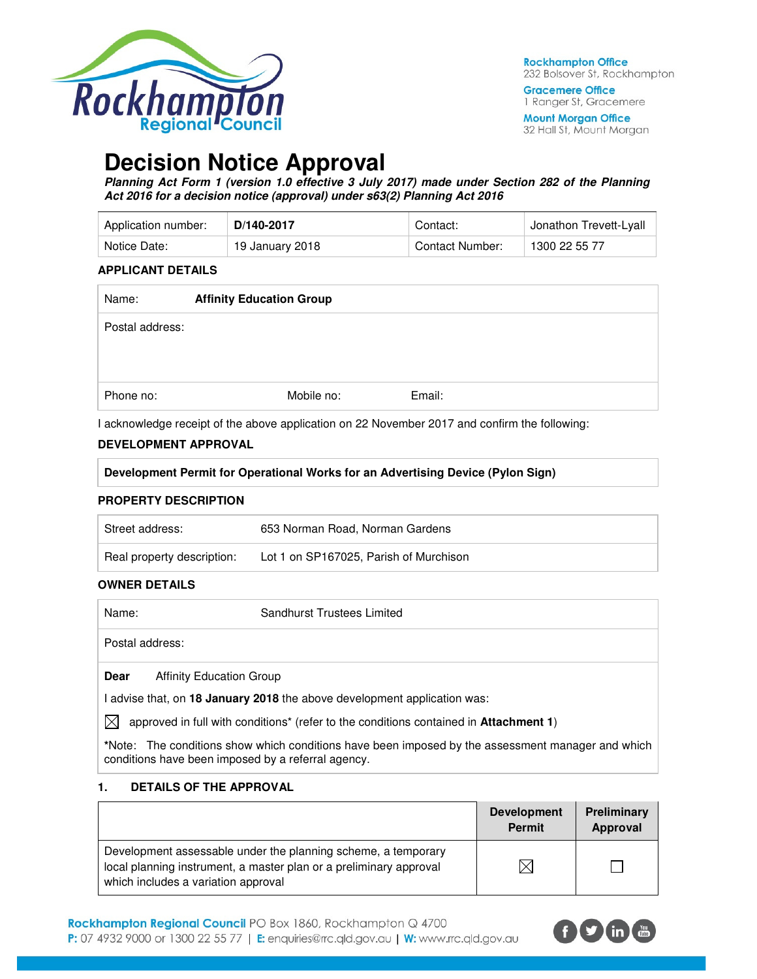

**Gracemere Office** 1 Ranger St, Gracemere

**Mount Morgan Office** 32 Hall St, Mount Morgan

# **Decision Notice Approval**

**Planning Act Form 1 (version 1.0 effective 3 July 2017) made under Section 282 of the Planning Act 2016 for a decision notice (approval) under s63(2) Planning Act 2016** 

| Application number: | D/140-2017      | Contact:        | <sup>⊥</sup> Jonathon Trevett-Lyall |
|---------------------|-----------------|-----------------|-------------------------------------|
| Notice Date:        | 19 January 2018 | Contact Number: | 1300 22 55 77                       |

### **APPLICANT DETAILS**

| Mobile no: | Email:                          |
|------------|---------------------------------|
|            | <b>Affinity Education Group</b> |

I acknowledge receipt of the above application on 22 November 2017 and confirm the following:

### **DEVELOPMENT APPROVAL**

| Development Permit for Operational Works for an Advertising Device (Pylon Sign) |  |  |
|---------------------------------------------------------------------------------|--|--|
|                                                                                 |  |  |

### **PROPERTY DESCRIPTION**

| Street address:            | 653 Norman Road, Norman Gardens        |
|----------------------------|----------------------------------------|
| Real property description: | Lot 1 on SP167025, Parish of Murchison |

### **OWNER DETAILS**

| Name:           |                                 | <b>Sandhurst Trustees Limited</b> |  |
|-----------------|---------------------------------|-----------------------------------|--|
| Postal address: |                                 |                                   |  |
| Dear            | <b>Affinity Education Group</b> |                                   |  |

I advise that, on **18 January 2018** the above development application was:

 $\boxtimes$  approved in full with conditions<sup>\*</sup> (refer to the conditions contained in **Attachment 1**)

**\***Note:The conditions show which conditions have been imposed by the assessment manager and which conditions have been imposed by a referral agency.

### **1. DETAILS OF THE APPROVAL**

|                                                                                                                                                                            | <b>Development</b><br><b>Permit</b> | Preliminary<br>Approval |
|----------------------------------------------------------------------------------------------------------------------------------------------------------------------------|-------------------------------------|-------------------------|
| Development assessable under the planning scheme, a temporary<br>local planning instrument, a master plan or a preliminary approval<br>which includes a variation approval | X                                   |                         |

Rockhampton Regional Council PO Box 1860, Rockhampton Q 4700 P: 07 4932 9000 or 1300 22 55 77 | E: enquiries@rrc.qld.gov.au | W: www.rrc.qld.gov.au

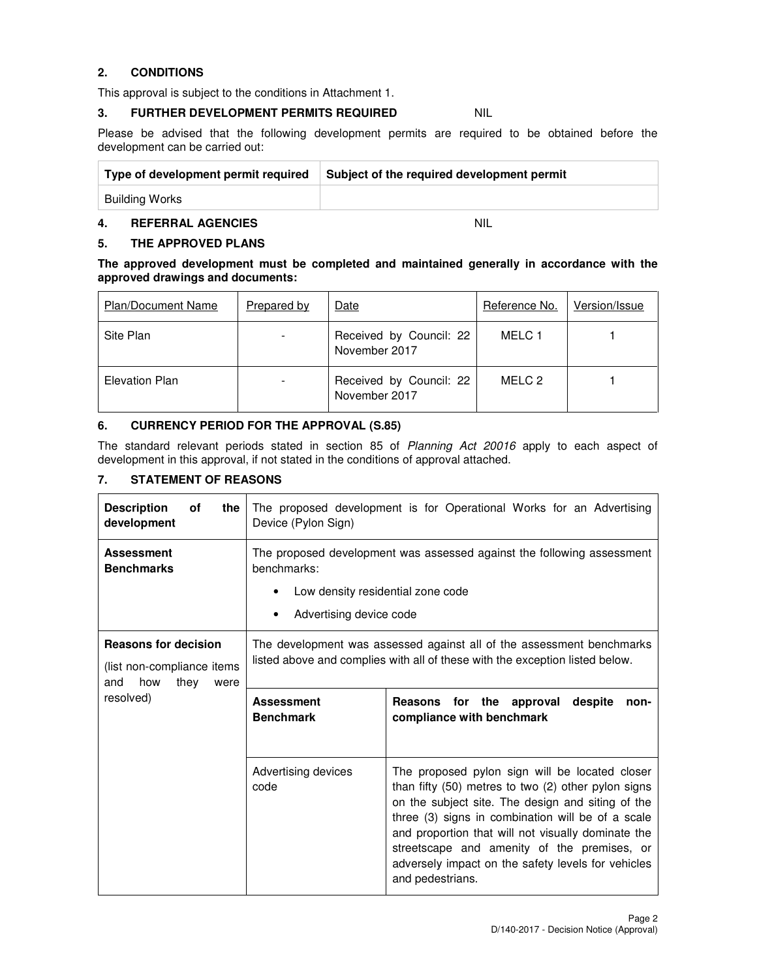### **2. CONDITIONS**

This approval is subject to the conditions in Attachment 1.

### **3. FURTHER DEVELOPMENT PERMITS REQUIRED NIL**

Please be advised that the following development permits are required to be obtained before the development can be carried out:

| Type of development permit required | Subject of the required development permit |
|-------------------------------------|--------------------------------------------|
| Building Works                      |                                            |

### **4. REFERRAL AGENCIES** NIL

### **5. THE APPROVED PLANS**

**The approved development must be completed and maintained generally in accordance with the approved drawings and documents:** 

| <b>Plan/Document Name</b> | Prepared by | Date                                     | Reference No. | Version/Issue |
|---------------------------|-------------|------------------------------------------|---------------|---------------|
| Site Plan                 |             | Received by Council: 22<br>November 2017 | MELC 1        |               |
| Elevation Plan            |             | Received by Council: 22<br>November 2017 | MELC 2        |               |

### **6. CURRENCY PERIOD FOR THE APPROVAL (S.85)**

The standard relevant periods stated in section 85 of Planning Act 20016 apply to each aspect of development in this approval, if not stated in the conditions of approval attached.

### **7. STATEMENT OF REASONS**

| <b>Description</b><br>οf<br>the<br>development                                          | The proposed development is for Operational Works for an Advertising<br>Device (Pylon Sign)                                                                |                                                                                    |  |
|-----------------------------------------------------------------------------------------|------------------------------------------------------------------------------------------------------------------------------------------------------------|------------------------------------------------------------------------------------|--|
| <b>Assessment</b><br><b>Benchmarks</b>                                                  | The proposed development was assessed against the following assessment<br>benchmarks:<br>Low density residential zone code<br>Advertising device code<br>٠ |                                                                                    |  |
| <b>Reasons for decision</b><br>(list non-compliance items<br>how<br>and<br>they<br>were | The development was assessed against all of the assessment benchmarks<br>listed above and complies with all of these with the exception listed below.      |                                                                                    |  |
|                                                                                         |                                                                                                                                                            |                                                                                    |  |
| resolved)                                                                               | <b>Assessment</b><br><b>Benchmark</b>                                                                                                                      | <b>Reasons</b><br>for the approval<br>despite<br>non-<br>compliance with benchmark |  |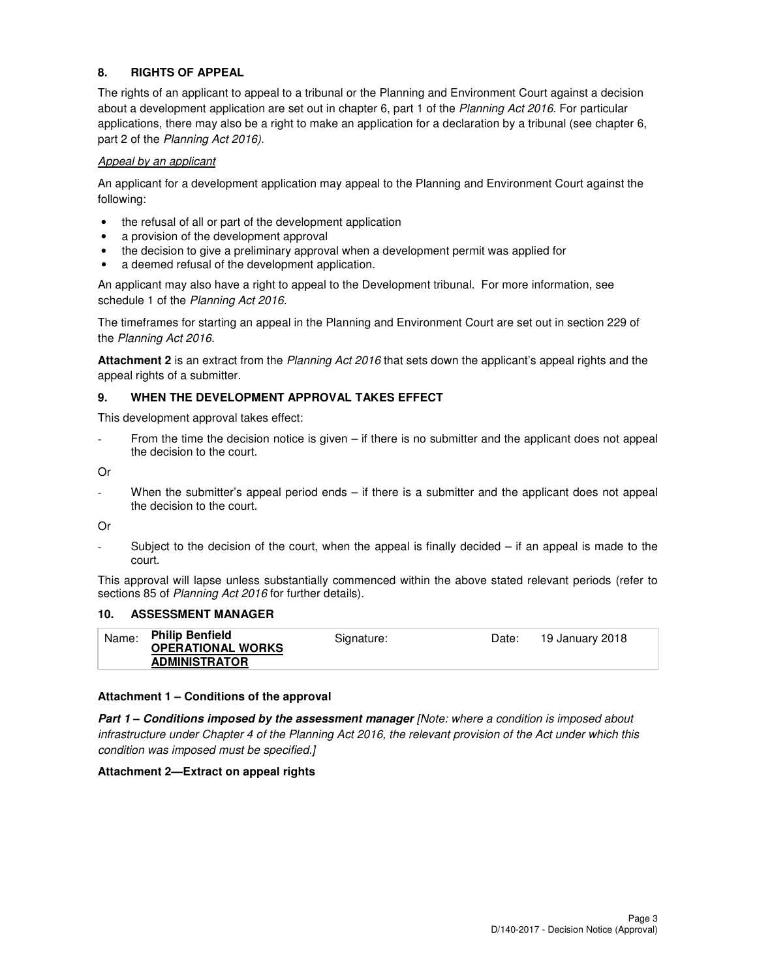### **8. RIGHTS OF APPEAL**

The rights of an applicant to appeal to a tribunal or the Planning and Environment Court against a decision about a development application are set out in chapter 6, part 1 of the Planning Act 2016. For particular applications, there may also be a right to make an application for a declaration by a tribunal (see chapter 6, part 2 of the Planning Act 2016).

### Appeal by an applicant

An applicant for a development application may appeal to the Planning and Environment Court against the following:

- the refusal of all or part of the development application
- a provision of the development approval
- the decision to give a preliminary approval when a development permit was applied for
- a deemed refusal of the development application.

An applicant may also have a right to appeal to the Development tribunal. For more information, see schedule 1 of the Planning Act 2016.

The timeframes for starting an appeal in the Planning and Environment Court are set out in section 229 of the Planning Act 2016.

**Attachment 2** is an extract from the Planning Act 2016 that sets down the applicant's appeal rights and the appeal rights of a submitter.

### **9. WHEN THE DEVELOPMENT APPROVAL TAKES EFFECT**

This development approval takes effect:

From the time the decision notice is given – if there is no submitter and the applicant does not appeal the decision to the court.

Or

When the submitter's appeal period ends – if there is a submitter and the applicant does not appeal the decision to the court.

Or

Subject to the decision of the court, when the appeal is finally decided  $-$  if an appeal is made to the court.

This approval will lapse unless substantially commenced within the above stated relevant periods (refer to sections 85 of Planning Act 2016 for further details).

### **10. ASSESSMENT MANAGER**

| Name: | <b>Philip Benfield</b>   | Signature: | Date: | 19 January 2018 |
|-------|--------------------------|------------|-------|-----------------|
|       | <b>OPERATIONAL WORKS</b> |            |       |                 |
|       | <b>ADMINISTRATOR</b>     |            |       |                 |

### **Attachment 1 – Conditions of the approval**

**Part 1 – Conditions imposed by the assessment manager** [Note: where a condition is imposed about infrastructure under Chapter 4 of the Planning Act 2016, the relevant provision of the Act under which this condition was imposed must be specified.]

### **Attachment 2—Extract on appeal rights**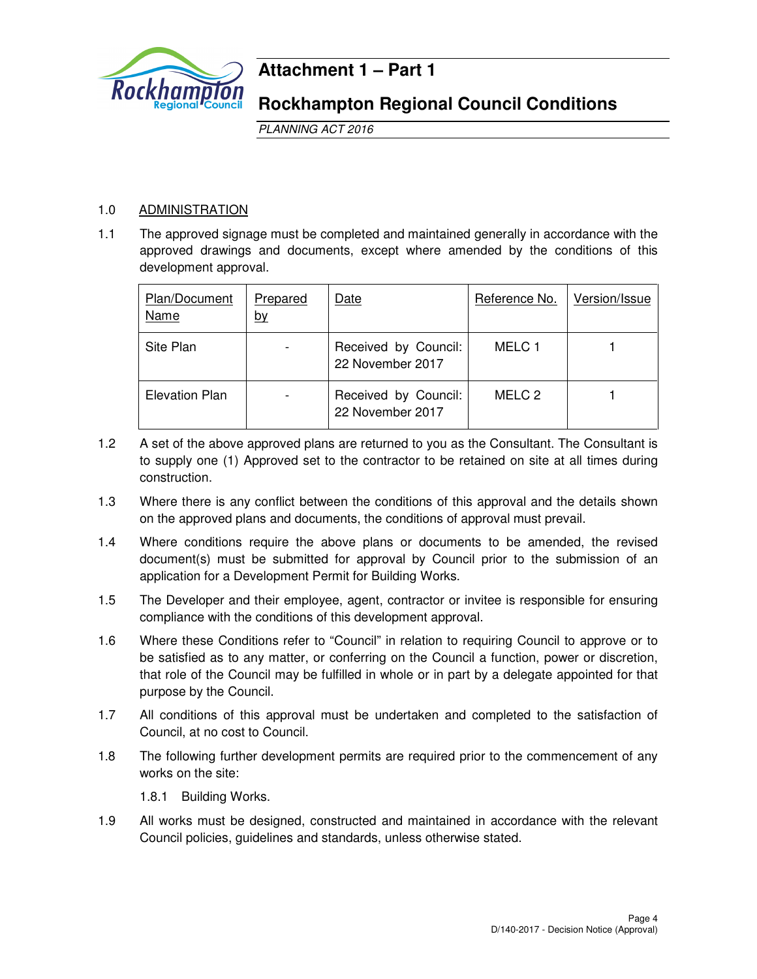

### **Attachment 1 – Part 1**

### **Rockhampton Regional Council Conditions**

PLANNING ACT 2016

### 1.0 ADMINISTRATION

1.1 The approved signage must be completed and maintained generally in accordance with the approved drawings and documents, except where amended by the conditions of this development approval.

| Plan/Document<br>Name | Prepared<br><u>by</u> | Date                                     | Reference No. | Version/Issue |
|-----------------------|-----------------------|------------------------------------------|---------------|---------------|
| Site Plan             |                       | Received by Council:<br>22 November 2017 | MELC 1        |               |
| <b>Elevation Plan</b> |                       | Received by Council:<br>22 November 2017 | MELC 2        |               |

- 1.2 A set of the above approved plans are returned to you as the Consultant. The Consultant is to supply one (1) Approved set to the contractor to be retained on site at all times during construction.
- 1.3 Where there is any conflict between the conditions of this approval and the details shown on the approved plans and documents, the conditions of approval must prevail.
- 1.4 Where conditions require the above plans or documents to be amended, the revised document(s) must be submitted for approval by Council prior to the submission of an application for a Development Permit for Building Works.
- 1.5 The Developer and their employee, agent, contractor or invitee is responsible for ensuring compliance with the conditions of this development approval.
- 1.6 Where these Conditions refer to "Council" in relation to requiring Council to approve or to be satisfied as to any matter, or conferring on the Council a function, power or discretion, that role of the Council may be fulfilled in whole or in part by a delegate appointed for that purpose by the Council.
- 1.7 All conditions of this approval must be undertaken and completed to the satisfaction of Council, at no cost to Council.
- 1.8 The following further development permits are required prior to the commencement of any works on the site:

1.8.1 Building Works.

1.9 All works must be designed, constructed and maintained in accordance with the relevant Council policies, guidelines and standards, unless otherwise stated.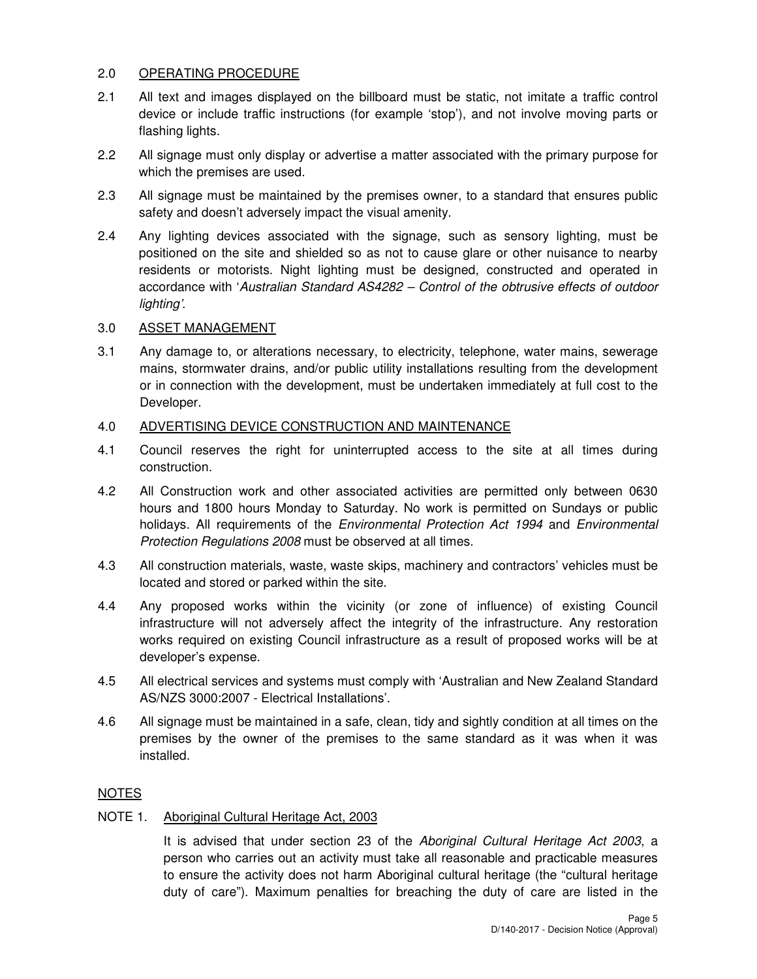### 2.0 OPERATING PROCEDURE

- 2.1 All text and images displayed on the billboard must be static, not imitate a traffic control device or include traffic instructions (for example 'stop'), and not involve moving parts or flashing lights.
- 2.2 All signage must only display or advertise a matter associated with the primary purpose for which the premises are used.
- 2.3 All signage must be maintained by the premises owner, to a standard that ensures public safety and doesn't adversely impact the visual amenity.
- 2.4 Any lighting devices associated with the signage, such as sensory lighting, must be positioned on the site and shielded so as not to cause glare or other nuisance to nearby residents or motorists. Night lighting must be designed, constructed and operated in accordance with 'Australian Standard AS4282 – Control of the obtrusive effects of outdoor lighting'.

### 3.0 ASSET MANAGEMENT

3.1 Any damage to, or alterations necessary, to electricity, telephone, water mains, sewerage mains, stormwater drains, and/or public utility installations resulting from the development or in connection with the development, must be undertaken immediately at full cost to the Developer.

### 4.0 ADVERTISING DEVICE CONSTRUCTION AND MAINTENANCE

- 4.1 Council reserves the right for uninterrupted access to the site at all times during construction.
- 4.2 All Construction work and other associated activities are permitted only between 0630 hours and 1800 hours Monday to Saturday. No work is permitted on Sundays or public holidays. All requirements of the *Environmental Protection Act 1994* and *Environmental* Protection Regulations 2008 must be observed at all times.
- 4.3 All construction materials, waste, waste skips, machinery and contractors' vehicles must be located and stored or parked within the site.
- 4.4 Any proposed works within the vicinity (or zone of influence) of existing Council infrastructure will not adversely affect the integrity of the infrastructure. Any restoration works required on existing Council infrastructure as a result of proposed works will be at developer's expense.
- 4.5 All electrical services and systems must comply with 'Australian and New Zealand Standard AS/NZS 3000:2007 - Electrical Installations'.
- 4.6 All signage must be maintained in a safe, clean, tidy and sightly condition at all times on the premises by the owner of the premises to the same standard as it was when it was installed.

### NOTES

### NOTE 1. Aboriginal Cultural Heritage Act, 2003

It is advised that under section 23 of the Aboriginal Cultural Heritage Act 2003, a person who carries out an activity must take all reasonable and practicable measures to ensure the activity does not harm Aboriginal cultural heritage (the "cultural heritage duty of care"). Maximum penalties for breaching the duty of care are listed in the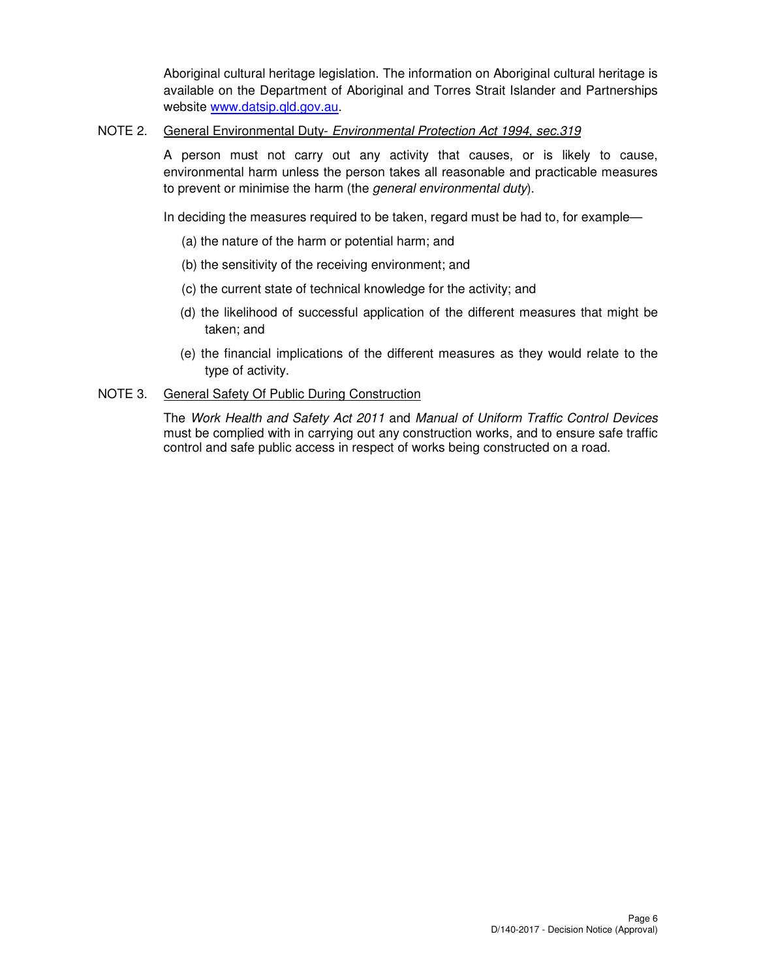Aboriginal cultural heritage legislation. The information on Aboriginal cultural heritage is available on the Department of Aboriginal and Torres Strait Islander and Partnerships website www.datsip.qld.gov.au.

### NOTE 2. General Environmental Duty- Environmental Protection Act 1994, sec.319

A person must not carry out any activity that causes, or is likely to cause, environmental harm unless the person takes all reasonable and practicable measures to prevent or minimise the harm (the *general environmental duty*).

In deciding the measures required to be taken, regard must be had to, for example—

- (a) the nature of the harm or potential harm; and
- (b) the sensitivity of the receiving environment; and
- (c) the current state of technical knowledge for the activity; and
- (d) the likelihood of successful application of the different measures that might be taken; and
- (e) the financial implications of the different measures as they would relate to the type of activity.

### NOTE 3. General Safety Of Public During Construction

The Work Health and Safety Act 2011 and Manual of Uniform Traffic Control Devices must be complied with in carrying out any construction works, and to ensure safe traffic control and safe public access in respect of works being constructed on a road.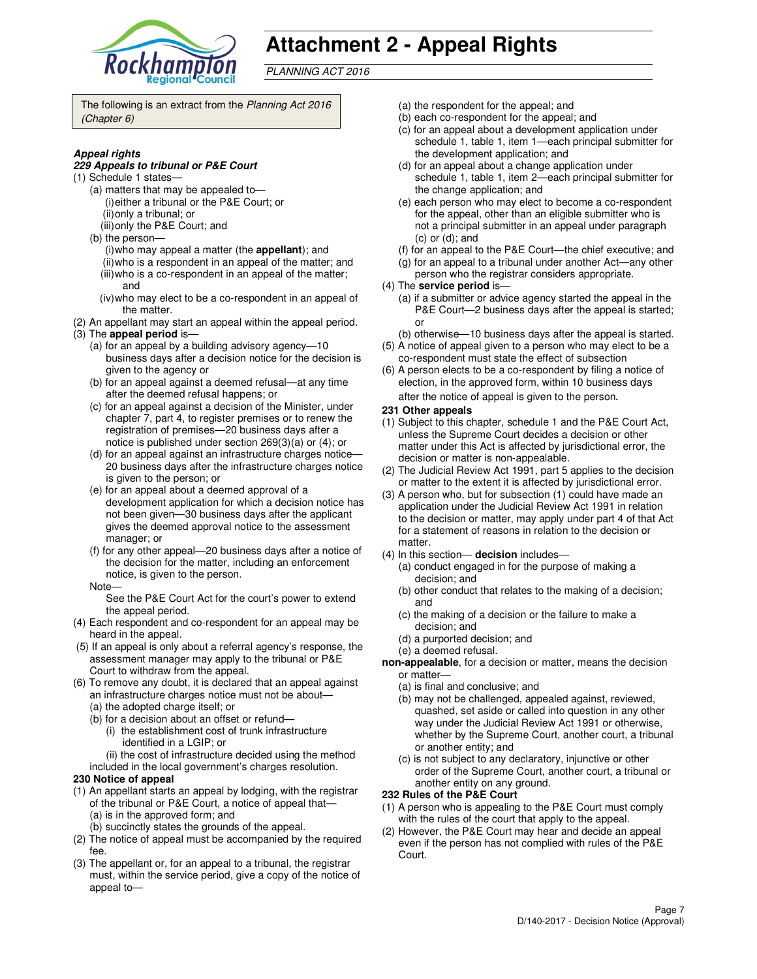

## **Attachment 2 - Appeal Rights**

PLANNING ACT 2016

The following is an extract from the Planning Act 2016 (Chapter 6)

### **Appeal rights**

#### **229 Appeals to tribunal or P&E Court**

- (1) Schedule 1 states—
	- (a) matters that may be appealed to— (i) either a tribunal or the P&E Court; or (ii) only a tribunal; or
	- (iii) only the P&E Court; and
	- (b) the person—
		- (i) who may appeal a matter (the **appellant**); and (ii) who is a respondent in an appeal of the matter; and (iii) who is a co-respondent in an appeal of the matter;
		- and (iv) who may elect to be a co-respondent in an appeal of
	- the matter.
- (2) An appellant may start an appeal within the appeal period. (3) The **appeal period** is—
	- (a) for an appeal by a building advisory agency—10 business days after a decision notice for the decision is given to the agency or
	- (b) for an appeal against a deemed refusal—at any time after the deemed refusal happens; or
	- (c) for an appeal against a decision of the Minister, under chapter 7, part 4, to register premises or to renew the registration of premises—20 business days after a notice is published under section 269(3)(a) or (4); or
	- (d) for an appeal against an infrastructure charges notice— 20 business days after the infrastructure charges notice is given to the person; or
	- (e) for an appeal about a deemed approval of a development application for which a decision notice has not been given—30 business days after the applicant gives the deemed approval notice to the assessment manager; or
	- (f) for any other appeal—20 business days after a notice of the decision for the matter, including an enforcement notice, is given to the person.
	- Note—

See the P&E Court Act for the court's power to extend the appeal period.

- (4) Each respondent and co-respondent for an appeal may be heard in the appeal.
- (5) If an appeal is only about a referral agency's response, the assessment manager may apply to the tribunal or P&E Court to withdraw from the appeal.
- (6) To remove any doubt, it is declared that an appeal against an infrastructure charges notice must not be about—
	- (a) the adopted charge itself; or
	- (b) for a decision about an offset or refund—
		- (i) the establishment cost of trunk infrastructure identified in a LGIP; or
		- (ii) the cost of infrastructure decided using the method
	- included in the local government's charges resolution.
- **230 Notice of appeal**
- (1) An appellant starts an appeal by lodging, with the registrar of the tribunal or P&E Court, a notice of appeal that— (a) is in the approved form; and
	- (b) succinctly states the grounds of the appeal.
- (2) The notice of appeal must be accompanied by the required fee.
- (3) The appellant or, for an appeal to a tribunal, the registrar must, within the service period, give a copy of the notice of appeal to—
- (a) the respondent for the appeal; and
- (b) each co-respondent for the appeal; and
- (c) for an appeal about a development application under schedule 1, table 1, item 1—each principal submitter for the development application; and
- (d) for an appeal about a change application under schedule 1, table 1, item 2—each principal submitter for the change application; and
- (e) each person who may elect to become a co-respondent for the appeal, other than an eligible submitter who is not a principal submitter in an appeal under paragraph (c) or (d); and
- (f) for an appeal to the P&E Court—the chief executive; and
- (g) for an appeal to a tribunal under another Act—any other
- person who the registrar considers appropriate.
- (4) The **service period** is—
	- (a) if a submitter or advice agency started the appeal in the P&E Court—2 business days after the appeal is started; or
- (b) otherwise—10 business days after the appeal is started. (5) A notice of appeal given to a person who may elect to be a
- co-respondent must state the effect of subsection (6) A person elects to be a co-respondent by filing a notice of
- election, in the approved form, within 10 business days after the notice of appeal is given to the person*.*
- **231 Other appeals**
- (1) Subject to this chapter, schedule 1 and the P&E Court Act, unless the Supreme Court decides a decision or other matter under this Act is affected by jurisdictional error, the decision or matter is non-appealable.
- (2) The Judicial Review Act 1991, part 5 applies to the decision or matter to the extent it is affected by jurisdictional error.
- (3) A person who, but for subsection (1) could have made an application under the Judicial Review Act 1991 in relation to the decision or matter, may apply under part 4 of that Act for a statement of reasons in relation to the decision or matter.
- (4) In this section— **decision** includes—
	- (a) conduct engaged in for the purpose of making a decision; and
	- (b) other conduct that relates to the making of a decision; and
	- (c) the making of a decision or the failure to make a decision; and
	- (d) a purported decision; and
	- (e) a deemed refusal.
- **non-appealable**, for a decision or matter, means the decision or matter—
	- (a) is final and conclusive; and
	- (b) may not be challenged, appealed against, reviewed, quashed, set aside or called into question in any other way under the Judicial Review Act 1991 or otherwise, whether by the Supreme Court, another court, a tribunal or another entity; and
	- (c) is not subject to any declaratory, injunctive or other order of the Supreme Court, another court, a tribunal or another entity on any ground.

### **232 Rules of the P&E Court**

- (1) A person who is appealing to the P&E Court must comply with the rules of the court that apply to the appeal.
- (2) However, the P&E Court may hear and decide an appeal even if the person has not complied with rules of the P&E Court.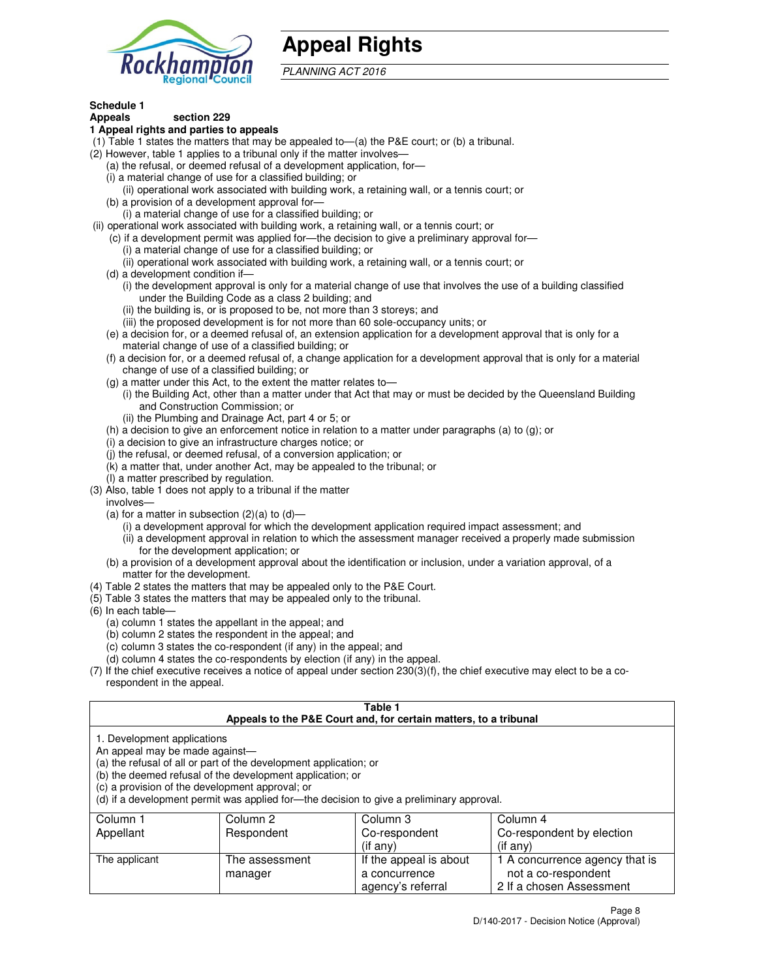

## **Appeal Rights**

PLANNING ACT 2016

#### **Schedule 1 Appeals section 229**

### **1 Appeal rights and parties to appeals**

- (1) Table 1 states the matters that may be appealed to—(a) the P&E court; or (b) a tribunal.
- (2) However, table 1 applies to a tribunal only if the matter involves—
	- (a) the refusal, or deemed refusal of a development application, for—
	- (i) a material change of use for a classified building; or
	- (ii) operational work associated with building work, a retaining wall, or a tennis court; or (b) a provision of a development approval for—
	- (i) a material change of use for a classified building; or
- (ii) operational work associated with building work, a retaining wall, or a tennis court; or
	- (c) if a development permit was applied for—the decision to give a preliminary approval for—
		- (i) a material change of use for a classified building; or
		- (ii) operational work associated with building work, a retaining wall, or a tennis court; or
	- (d) a development condition if—
		- (i) the development approval is only for a material change of use that involves the use of a building classified under the Building Code as a class 2 building; and
		- (ii) the building is, or is proposed to be, not more than 3 storeys; and
		- (iii) the proposed development is for not more than 60 sole-occupancy units; or
	- (e) a decision for, or a deemed refusal of, an extension application for a development approval that is only for a material change of use of a classified building; or
	- (f) a decision for, or a deemed refusal of, a change application for a development approval that is only for a material change of use of a classified building; or
	- (g) a matter under this Act, to the extent the matter relates to—
		- (i) the Building Act, other than a matter under that Act that may or must be decided by the Queensland Building and Construction Commission; or
		- (ii) the Plumbing and Drainage Act, part 4 or 5; or
	- (h) a decision to give an enforcement notice in relation to a matter under paragraphs (a) to (g); or
	- (i) a decision to give an infrastructure charges notice; or
	- (j) the refusal, or deemed refusal, of a conversion application; or
	- (k) a matter that, under another Act, may be appealed to the tribunal; or
	- (l) a matter prescribed by regulation.
- (3) Also, table 1 does not apply to a tribunal if the matter
- involves—
	- (a) for a matter in subsection  $(2)(a)$  to  $(d)$ 
		- (i) a development approval for which the development application required impact assessment; and
		- (ii) a development approval in relation to which the assessment manager received a properly made submission for the development application; or
	- (b) a provision of a development approval about the identification or inclusion, under a variation approval, of a matter for the development.
- (4) Table 2 states the matters that may be appealed only to the P&E Court.
- (5) Table 3 states the matters that may be appealed only to the tribunal.
- (6) In each table—
	- (a) column 1 states the appellant in the appeal; and
	- (b) column 2 states the respondent in the appeal; and
	- (c) column 3 states the co-respondent (if any) in the appeal; and
	- (d) column 4 states the co-respondents by election (if any) in the appeal.
- (7) If the chief executive receives a notice of appeal under section 230(3)(f), the chief executive may elect to be a corespondent in the appeal.

### **Table 1**

|                                                               |                                                                                                                                                                                   | Appeals to the P&E Court and, for certain matters, to a tribunal                         |                                                       |
|---------------------------------------------------------------|-----------------------------------------------------------------------------------------------------------------------------------------------------------------------------------|------------------------------------------------------------------------------------------|-------------------------------------------------------|
| 1. Development applications<br>An appeal may be made against— | (a) the refusal of all or part of the development application; or<br>(b) the deemed refusal of the development application; or<br>(c) a provision of the development approval; or | (d) if a development permit was applied for—the decision to give a preliminary approval. |                                                       |
| Column 1                                                      | Column 2                                                                                                                                                                          | Column 3                                                                                 | Column 4                                              |
| Appellant                                                     | Respondent                                                                                                                                                                        | Co-respondent                                                                            | Co-respondent by election                             |
|                                                               |                                                                                                                                                                                   | $($ if any $)$                                                                           | $(if$ any)                                            |
| The applicant                                                 | The assessment<br>manager                                                                                                                                                         | If the appeal is about<br>a concurrence                                                  | 1 A concurrence agency that is<br>not a co-respondent |

agency's referral

2 If a chosen Assessment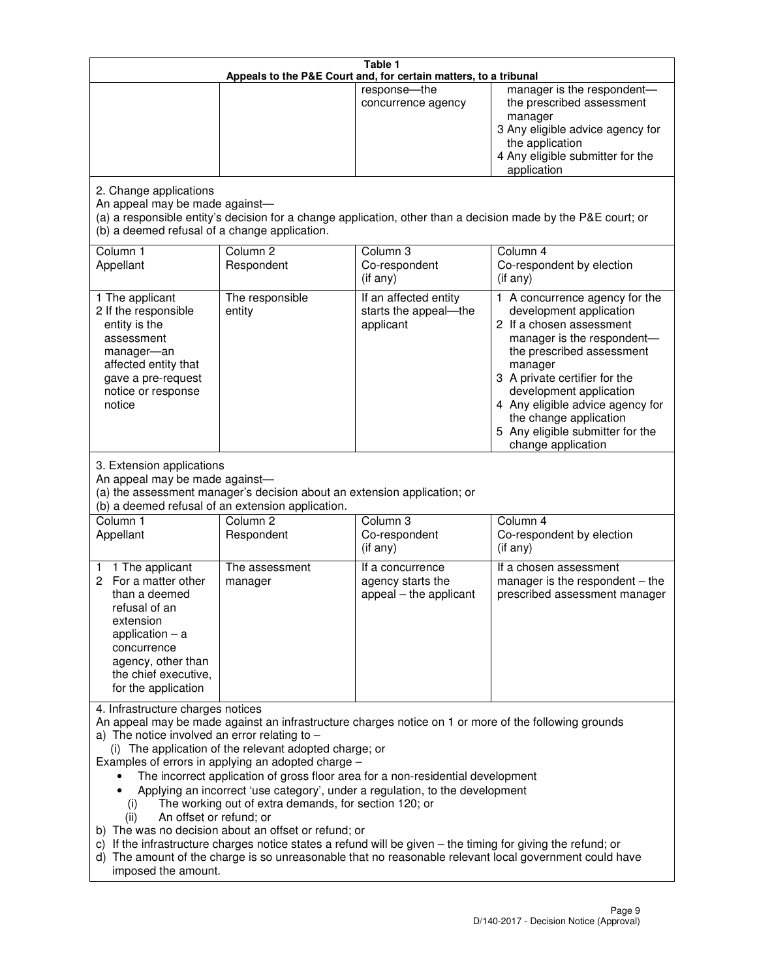|                                                                                                                                                                                                      |                                                                                                                                                                                                                               | Table 1<br>Appeals to the P&E Court and, for certain matters, to a tribunal                                                                                                                                                                                                     |                                                                                                                                                                                                                                                                                                                                                 |
|------------------------------------------------------------------------------------------------------------------------------------------------------------------------------------------------------|-------------------------------------------------------------------------------------------------------------------------------------------------------------------------------------------------------------------------------|---------------------------------------------------------------------------------------------------------------------------------------------------------------------------------------------------------------------------------------------------------------------------------|-------------------------------------------------------------------------------------------------------------------------------------------------------------------------------------------------------------------------------------------------------------------------------------------------------------------------------------------------|
|                                                                                                                                                                                                      |                                                                                                                                                                                                                               | response-the<br>concurrence agency                                                                                                                                                                                                                                              | manager is the respondent-<br>the prescribed assessment<br>manager<br>3 Any eligible advice agency for<br>the application<br>4 Any eligible submitter for the<br>application                                                                                                                                                                    |
| 2. Change applications<br>An appeal may be made against-<br>(b) a deemed refusal of a change application.                                                                                            |                                                                                                                                                                                                                               |                                                                                                                                                                                                                                                                                 | (a) a responsible entity's decision for a change application, other than a decision made by the P&E court; or                                                                                                                                                                                                                                   |
| Column 1<br>Appellant                                                                                                                                                                                | Column <sub>2</sub><br>Respondent                                                                                                                                                                                             | Column 3<br>Co-respondent<br>(if any)                                                                                                                                                                                                                                           | Column 4<br>Co-respondent by election<br>(if any)                                                                                                                                                                                                                                                                                               |
| 1 The applicant<br>2 If the responsible<br>entity is the<br>assessment<br>manager-an<br>affected entity that<br>gave a pre-request<br>notice or response<br>notice                                   | The responsible<br>entity                                                                                                                                                                                                     | If an affected entity<br>starts the appeal-the<br>applicant                                                                                                                                                                                                                     | 1 A concurrence agency for the<br>development application<br>2 If a chosen assessment<br>manager is the respondent-<br>the prescribed assessment<br>manager<br>3 A private certifier for the<br>development application<br>4 Any eligible advice agency for<br>the change application<br>5 Any eligible submitter for the<br>change application |
| 3. Extension applications<br>An appeal may be made against-<br>Column 1<br>Appellant                                                                                                                 | (a) the assessment manager's decision about an extension application; or<br>(b) a deemed refusal of an extension application.<br>Column <sub>2</sub><br>Respondent                                                            | Column 3<br>Co-respondent                                                                                                                                                                                                                                                       | Column 4<br>Co-respondent by election                                                                                                                                                                                                                                                                                                           |
| 1 The applicant<br>1<br>2 For a matter other<br>than a deemed<br>refusal of an<br>extension<br>application $-$ a<br>concurrence<br>agency, other than<br>the chief executive,<br>for the application | The assessment<br>manager                                                                                                                                                                                                     | (if any)<br>If a concurrence<br>agency starts the<br>appeal - the applicant                                                                                                                                                                                                     | (if any)<br>If a chosen assessment<br>manager is the respondent $-$ the<br>prescribed assessment manager                                                                                                                                                                                                                                        |
| 4. Infrastructure charges notices<br>a) The notice involved an error relating to $-$<br>(i)<br>An offset or refund; or<br>(ii)<br>imposed the amount.                                                | (i) The application of the relevant adopted charge; or<br>Examples of errors in applying an adopted charge -<br>The working out of extra demands, for section 120; or<br>b) The was no decision about an offset or refund; or | The incorrect application of gross floor area for a non-residential development<br>Applying an incorrect 'use category', under a regulation, to the development<br>c) If the infrastructure charges notice states a refund will be given - the timing for giving the refund; or | An appeal may be made against an infrastructure charges notice on 1 or more of the following grounds<br>d) The amount of the charge is so unreasonable that no reasonable relevant local government could have                                                                                                                                  |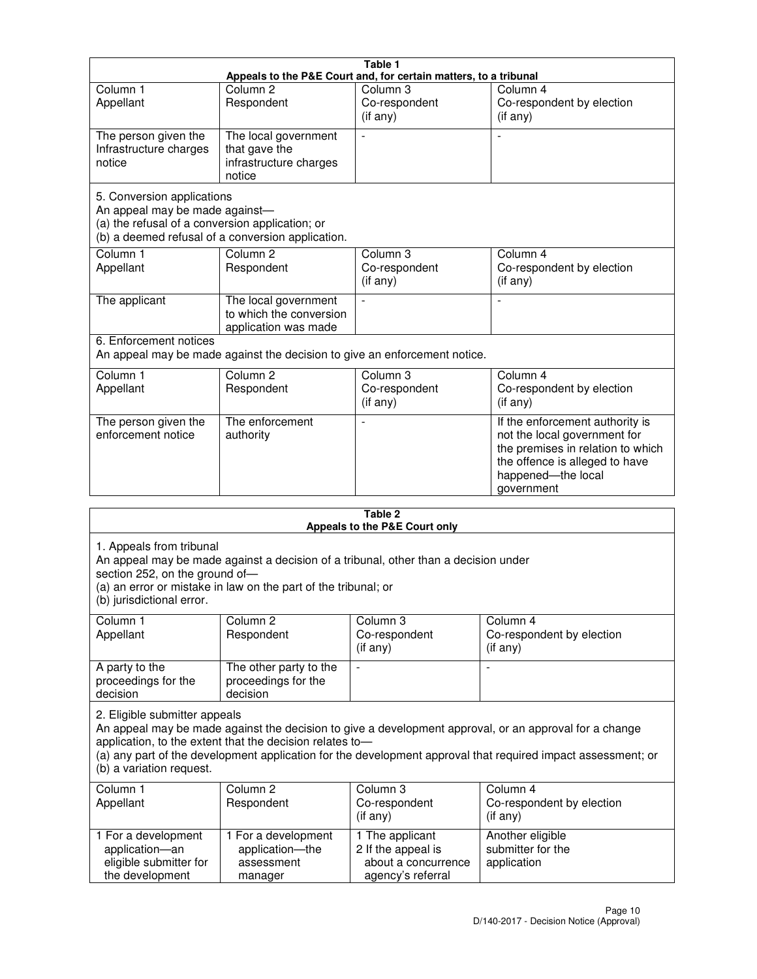|                                                                                                                 |                                                                           | Table 1                                                          |                                                                                                                                                                            |
|-----------------------------------------------------------------------------------------------------------------|---------------------------------------------------------------------------|------------------------------------------------------------------|----------------------------------------------------------------------------------------------------------------------------------------------------------------------------|
|                                                                                                                 |                                                                           | Appeals to the P&E Court and, for certain matters, to a tribunal |                                                                                                                                                                            |
| Column <sub>1</sub><br>Appellant                                                                                | Column <sub>2</sub><br>Respondent                                         | Column 3<br>Co-respondent<br>(if any)                            | Column 4<br>Co-respondent by election<br>(if any)                                                                                                                          |
| The person given the<br>Infrastructure charges<br>notice                                                        | The local government<br>that gave the<br>infrastructure charges<br>notice |                                                                  |                                                                                                                                                                            |
| 5. Conversion applications<br>An appeal may be made against-<br>(a) the refusal of a conversion application; or | (b) a deemed refusal of a conversion application.                         |                                                                  |                                                                                                                                                                            |
| Column <sub>1</sub><br>Appellant                                                                                | Column <sub>2</sub><br>Respondent                                         | Column <sub>3</sub><br>Co-respondent<br>(if any)                 | Column 4<br>Co-respondent by election<br>(if any)                                                                                                                          |
| The applicant                                                                                                   | The local government<br>to which the conversion<br>application was made   |                                                                  |                                                                                                                                                                            |
| 6. Enforcement notices                                                                                          | An appeal may be made against the decision to give an enforcement notice. |                                                                  |                                                                                                                                                                            |
| Column <sub>1</sub><br>Appellant                                                                                | Column <sub>2</sub><br>Respondent                                         | Column <sub>3</sub><br>Co-respondent<br>(if any)                 | Column 4<br>Co-respondent by election<br>(if any)                                                                                                                          |
| The person given the<br>enforcement notice                                                                      | The enforcement<br>authority                                              |                                                                  | If the enforcement authority is<br>not the local government for<br>the premises in relation to which<br>the offence is alleged to have<br>happened-the local<br>government |
|                                                                                                                 |                                                                           | 9 Ahla                                                           |                                                                                                                                                                            |

| Table 2<br>Appeals to the P&E Court only                                                |                                                                 |                                                                                     |                                                                                                                                                                                                                        |
|-----------------------------------------------------------------------------------------|-----------------------------------------------------------------|-------------------------------------------------------------------------------------|------------------------------------------------------------------------------------------------------------------------------------------------------------------------------------------------------------------------|
| 1. Appeals from tribunal<br>section 252, on the ground of-<br>(b) jurisdictional error. | (a) an error or mistake in law on the part of the tribunal; or  | An appeal may be made against a decision of a tribunal, other than a decision under |                                                                                                                                                                                                                        |
| Column 1<br>Appellant                                                                   | Column <sub>2</sub><br>Respondent                               | Column 3<br>Co-respondent<br>(if any)                                               | Column <sub>4</sub><br>Co-respondent by election<br>(if any)                                                                                                                                                           |
| A party to the<br>proceedings for the<br>decision                                       | The other party to the<br>proceedings for the<br>decision       | $\overline{\phantom{0}}$                                                            |                                                                                                                                                                                                                        |
| 2. Eligible submitter appeals<br>(b) a variation request.                               | application, to the extent that the decision relates to-        |                                                                                     | An appeal may be made against the decision to give a development approval, or an approval for a change<br>(a) any part of the development application for the development approval that required impact assessment; or |
| Column 1<br>Appellant                                                                   | Column <sub>2</sub><br>Respondent                               | Column <sub>3</sub><br>Co-respondent<br>(i f any)                                   | Column 4<br>Co-respondent by election<br>(if any)                                                                                                                                                                      |
| 1 For a development<br>application-an<br>eligible submitter for<br>the development      | 1 For a development<br>application-the<br>assessment<br>manager | 1 The applicant<br>2 If the appeal is<br>about a concurrence<br>agency's referral   | Another eligible<br>submitter for the<br>application                                                                                                                                                                   |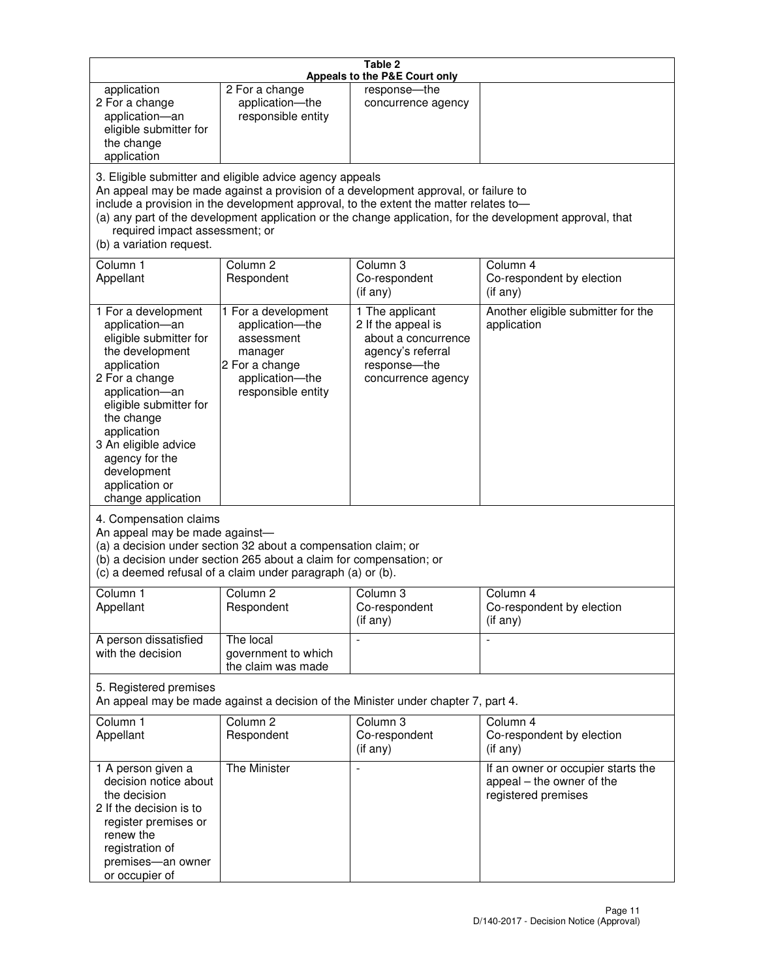|                                                                                                                                                                                                                                                                                               |                                                                                                                                                                                                                                         | Table 2<br>Appeals to the P&E Court only                                                                                |                                                                                                           |
|-----------------------------------------------------------------------------------------------------------------------------------------------------------------------------------------------------------------------------------------------------------------------------------------------|-----------------------------------------------------------------------------------------------------------------------------------------------------------------------------------------------------------------------------------------|-------------------------------------------------------------------------------------------------------------------------|-----------------------------------------------------------------------------------------------------------|
| application<br>2 For a change<br>application-an<br>eligible submitter for<br>the change<br>application                                                                                                                                                                                        | 2 For a change<br>application-the<br>responsible entity                                                                                                                                                                                 | response-the<br>concurrence agency                                                                                      |                                                                                                           |
| required impact assessment; or<br>(b) a variation request.                                                                                                                                                                                                                                    | 3. Eligible submitter and eligible advice agency appeals<br>An appeal may be made against a provision of a development approval, or failure to<br>include a provision in the development approval, to the extent the matter relates to- |                                                                                                                         | (a) any part of the development application or the change application, for the development approval, that |
| Column 1<br>Appellant                                                                                                                                                                                                                                                                         | Column <sub>2</sub><br>Respondent                                                                                                                                                                                                       | Column <sub>3</sub><br>Co-respondent<br>(if any)                                                                        | Column 4<br>Co-respondent by election<br>(if any)                                                         |
| 1 For a development<br>application-an<br>eligible submitter for<br>the development<br>application<br>2 For a change<br>application-an<br>eligible submitter for<br>the change<br>application<br>3 An eligible advice<br>agency for the<br>development<br>application or<br>change application | 1 For a development<br>application-the<br>assessment<br>manager<br>2 For a change<br>application-the<br>responsible entity                                                                                                              | 1 The applicant<br>2 If the appeal is<br>about a concurrence<br>agency's referral<br>response-the<br>concurrence agency | Another eligible submitter for the<br>application                                                         |
| 4. Compensation claims<br>An appeal may be made against-                                                                                                                                                                                                                                      | (a) a decision under section 32 about a compensation claim; or<br>(b) a decision under section 265 about a claim for compensation; or<br>(c) a deemed refusal of a claim under paragraph (a) or (b).                                    |                                                                                                                         |                                                                                                           |
| Column 1<br>Appellant                                                                                                                                                                                                                                                                         | Column 2<br>Respondent                                                                                                                                                                                                                  | Column 3<br>Co-respondent<br>(if any)                                                                                   | Column 4<br>Co-respondent by election<br>$($ if any $)$                                                   |
| A person dissatisfied<br>with the decision                                                                                                                                                                                                                                                    | The local<br>government to which<br>the claim was made                                                                                                                                                                                  |                                                                                                                         | $\blacksquare$                                                                                            |
| 5. Registered premises                                                                                                                                                                                                                                                                        | An appeal may be made against a decision of the Minister under chapter 7, part 4.                                                                                                                                                       |                                                                                                                         |                                                                                                           |
| Column 1<br>Appellant                                                                                                                                                                                                                                                                         | Column <sub>2</sub><br>Respondent                                                                                                                                                                                                       | Column 3<br>Co-respondent<br>(if any)                                                                                   | Column 4<br>Co-respondent by election<br>(if any)                                                         |
| 1 A person given a<br>decision notice about<br>the decision<br>2 If the decision is to<br>register premises or<br>renew the<br>registration of<br>premises-an owner<br>or occupier of                                                                                                         | The Minister                                                                                                                                                                                                                            | $\overline{a}$                                                                                                          | If an owner or occupier starts the<br>appeal - the owner of the<br>registered premises                    |